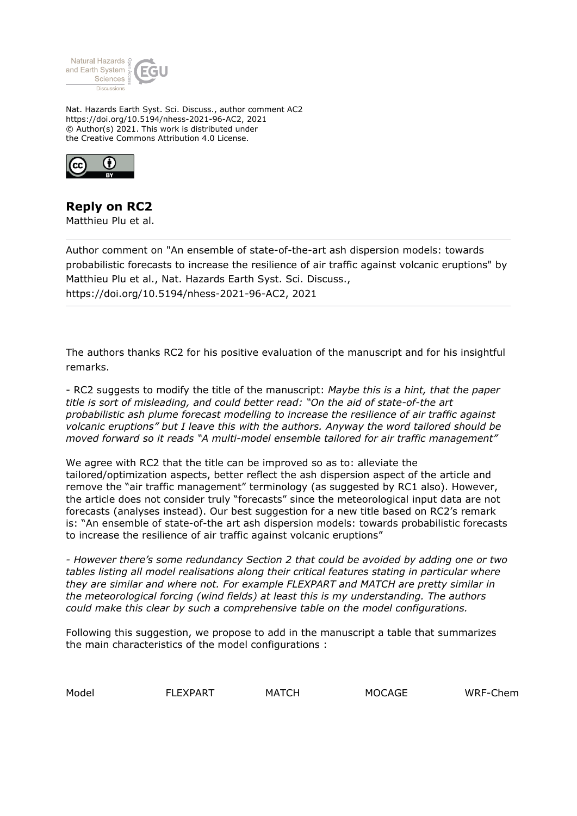

Nat. Hazards Earth Syst. Sci. Discuss., author comment AC2 https://doi.org/10.5194/nhess-2021-96-AC2, 2021 © Author(s) 2021. This work is distributed under the Creative Commons Attribution 4.0 License.



## **Reply on RC2**

Matthieu Plu et al.

Author comment on "An ensemble of state-of-the-art ash dispersion models: towards probabilistic forecasts to increase the resilience of air traffic against volcanic eruptions" by Matthieu Plu et al., Nat. Hazards Earth Syst. Sci. Discuss., https://doi.org/10.5194/nhess-2021-96-AC2, 2021

The authors thanks RC2 for his positive evaluation of the manuscript and for his insightful remarks.

- RC2 suggests to modify the title of the manuscript: *Maybe this is a hint, that the paper title is sort of misleading, and could better read: "On the aid of state-of-the art probabilistic ash plume forecast modelling to increase the resilience of air traffic against volcanic eruptions" but I leave this with the authors. Anyway the word tailored should be moved forward so it reads "A multi-model ensemble tailored for air traffic management"*

We agree with RC2 that the title can be improved so as to: alleviate the tailored/optimization aspects, better reflect the ash dispersion aspect of the article and remove the "air traffic management" terminology (as suggested by RC1 also). However, the article does not consider truly "forecasts" since the meteorological input data are not forecasts (analyses instead). Our best suggestion for a new title based on RC2's remark is: "An ensemble of state-of-the art ash dispersion models: towards probabilistic forecasts to increase the resilience of air traffic against volcanic eruptions"

*- However there's some redundancy Section 2 that could be avoided by adding one or two tables listing all model realisations along their critical features stating in particular where they are similar and where not. For example FLEXPART and MATCH are pretty similar in the meteorological forcing (wind fields) at least this is my understanding. The authors could make this clear by such a comprehensive table on the model configurations.*

Following this suggestion, we propose to add in the manuscript a table that summarizes the main characteristics of the model configurations :

Model FLEXPART MATCH MOCAGE WRF-Chem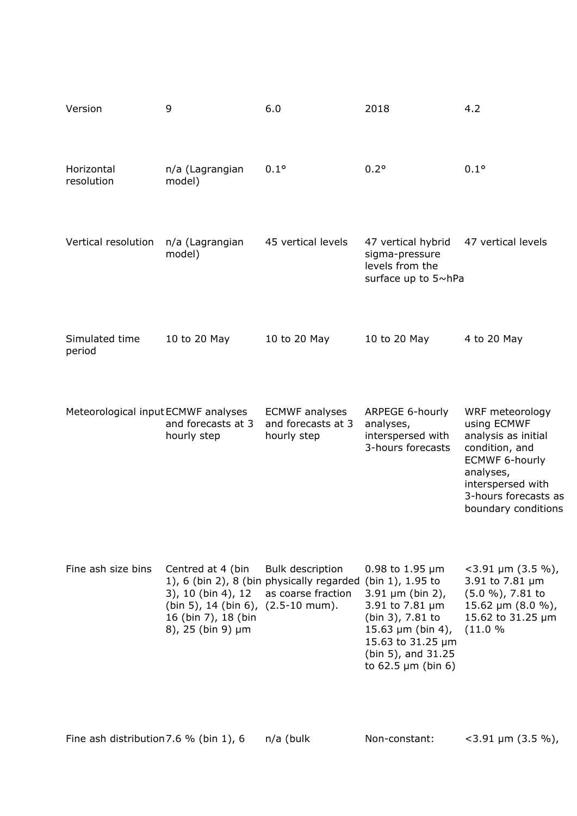| Version                             | 9                                                                                                                         | 6.0                                                                                        | 2018                                                                                                                                                                                                         | 4.2                                                                                                                                                                               |
|-------------------------------------|---------------------------------------------------------------------------------------------------------------------------|--------------------------------------------------------------------------------------------|--------------------------------------------------------------------------------------------------------------------------------------------------------------------------------------------------------------|-----------------------------------------------------------------------------------------------------------------------------------------------------------------------------------|
| Horizontal<br>resolution            | n/a (Lagrangian<br>model)                                                                                                 | $0.1^{\circ}$                                                                              | $0.2^{\circ}$                                                                                                                                                                                                | $0.1^\circ$                                                                                                                                                                       |
| Vertical resolution                 | n/a (Lagrangian<br>model)                                                                                                 | 45 vertical levels                                                                         | 47 vertical hybrid<br>sigma-pressure<br>levels from the<br>surface up to 5~hPa                                                                                                                               | 47 vertical levels                                                                                                                                                                |
| Simulated time<br>period            | 10 to 20 May                                                                                                              | 10 to 20 May                                                                               | 10 to 20 May                                                                                                                                                                                                 | 4 to 20 May                                                                                                                                                                       |
| Meteorological input ECMWF analyses | and forecasts at 3<br>hourly step                                                                                         | <b>ECMWF</b> analyses<br>and forecasts at 3<br>hourly step                                 | ARPEGE 6-hourly<br>analyses,<br>interspersed with<br>3-hours forecasts                                                                                                                                       | WRF meteorology<br>using ECMWF<br>analysis as initial<br>condition, and<br><b>ECMWF 6-hourly</b><br>analyses,<br>interspersed with<br>3-hours forecasts as<br>boundary conditions |
| Fine ash size bins                  | Centred at 4 (bin<br>3), 10 (bin 4), 12<br>(bin 5), 14 (bin 6), (2.5-10 mum).<br>16 (bin 7), 18 (bin<br>8), 25 (bin 9) µm | <b>Bulk description</b><br>1), 6 (bin 2), 8 (bin physically regarded<br>as coarse fraction | 0.98 to $1.95 \,\mu m$<br>(bin 1), 1.95 to<br>$3.91 \,\mu m$ (bin 2),<br>3.91 to 7.81 µm<br>(bin 3), 7.81 to<br>15.63 $\mu$ m (bin 4),<br>15.63 to 31.25 µm<br>(bin 5), and 31.25<br>to $62.5 \mu m$ (bin 6) | $<$ 3.91 µm (3.5 %),<br>3.91 to 7.81 µm<br>$(5.0 %)$ , 7.81 to<br>15.62 µm (8.0 %),<br>15.62 to 31.25 µm<br>(11.0 %                                                               |